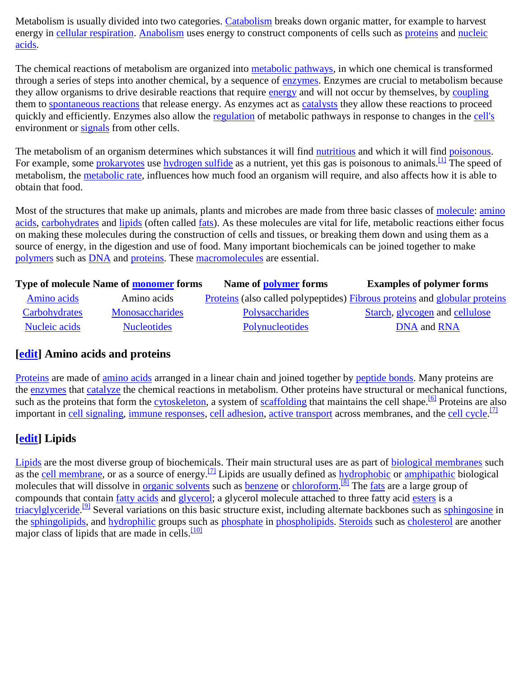Metabolism is usually divided into two categories. [Catabolism](http://en.wikipedia.org/wiki/Catabolism) breaks down organic matter, for example to harvest energy in [cellular respiration.](http://en.wikipedia.org/wiki/Cellular_respiration) [Anabolism](http://en.wikipedia.org/wiki/Anabolism) uses energy to construct components of cells such as [proteins](http://en.wikipedia.org/wiki/Protein) and nucleic [acids.](http://en.wikipedia.org/wiki/Nucleic_acid)

The chemical reactions of metabolism are organized into [metabolic pathways,](http://en.wikipedia.org/wiki/Metabolic_pathway) in which one chemical is transformed through a series of steps into another chemical, by a sequence of [enzymes.](http://en.wikipedia.org/wiki/Enzyme) Enzymes are crucial to metabolism because they allow organisms to drive desirable reactions that require [energy](http://en.wikipedia.org/wiki/Energy) and will not occur by themselves, by [coupling](http://en.wikipedia.org/wiki/Coupling_(physics)) them to [spontaneous reactions](http://en.wikipedia.org/wiki/Spontaneous_process) that release energy. As enzymes act as [catalysts](http://en.wikipedia.org/wiki/Catalysis) they allow these reactions to proceed quickly and efficiently. Enzymes also allow the [regulation](http://en.wikipedia.org/wiki/Control_theory) of metabolic pathways in response to changes in the [cell's](http://en.wikipedia.org/wiki/Cell_(biology)) environment or [signals](http://en.wikipedia.org/wiki/Cell_signaling) from other cells.

The metabolism of an organism determines which substances it will find [nutritious](http://en.wikipedia.org/wiki/Nutrition) and which it will find [poisonous.](http://en.wikipedia.org/wiki/Poison) For example, some [prokaryotes](http://en.wikipedia.org/wiki/Prokaryote) use [hydrogen sulfide](http://en.wikipedia.org/wiki/Hydrogen_sulfide) as a nutrient, yet this gas is poisonous to animals.  $[1]$  The speed of metabolism, the [metabolic rate,](http://en.wikipedia.org/wiki/Basal_metabolic_rate) influences how much food an organism will require, and also affects how it is able to obtain that food.

Most of the structures that make up animals, plants and microbes are made from three basic classes of [molecule:](http://en.wikipedia.org/wiki/Molecule) amino [acids,](http://en.wikipedia.org/wiki/Amino_acid) [carbohydrates](http://en.wikipedia.org/wiki/Carbohydrate) and [lipids](http://en.wikipedia.org/wiki/Lipid) (often called [fats\)](http://en.wikipedia.org/wiki/Fat). As these molecules are vital for life, metabolic reactions either focus on making these molecules during the construction of cells and tissues, or breaking them down and using them as a source of energy, in the digestion and use of food. Many important biochemicals can be joined together to make [polymers](http://en.wikipedia.org/wiki/Polymer) such as [DNA](http://en.wikipedia.org/wiki/DNA) and [proteins.](http://en.wikipedia.org/wiki/Protein) These [macromolecules](http://en.wikipedia.org/wiki/Macromolecules) are essential.

|               | Type of molecule Name of monomer forms | Name of polymer forms  | <b>Examples of polymer forms</b>                                           |
|---------------|----------------------------------------|------------------------|----------------------------------------------------------------------------|
| Amino acids   | Amino acids                            |                        | Proteins (also called polypeptides) Fibrous proteins and globular proteins |
| Carbohydrates | Monosaccharides                        | <b>Polysaccharides</b> | <b>Starch, glycogen and cellulose</b>                                      |
| Nucleic acids | <b>Nucleotides</b>                     | Polynucleotides        | DNA and RNA                                                                |

## **[\[edit\]](http://en.wikipedia.org/w/index.php?title=Metabolism&action=edit§ion=2) Amino acids and proteins**

[Proteins](http://en.wikipedia.org/wiki/Protein) are made of [amino acids](http://en.wikipedia.org/wiki/Amino_acid) arranged in a linear chain and joined together by [peptide bonds.](http://en.wikipedia.org/wiki/Peptide_bond) Many proteins are the [enzymes](http://en.wikipedia.org/wiki/Enzyme) that [catalyze](http://en.wikipedia.org/wiki/Catalysis) the chemical reactions in metabolism. Other proteins have structural or mechanical functions, such as the proteins that form the [cytoskeleton,](http://en.wikipedia.org/wiki/Cytoskeleton) a system of [scaffolding](http://en.wikipedia.org/wiki/Scaffolding) that maintains the cell shape.<sup>[\[6\]](http://en.wikipedia.org/wiki/Metabolism#cite_note-5)</sup> Proteins are also important in [cell signaling,](http://en.wikipedia.org/wiki/Cell_signaling) [immune responses,](http://en.wikipedia.org/wiki/Antibody) [cell adhesion,](http://en.wikipedia.org/wiki/Cell_adhesion) [active transport](http://en.wikipedia.org/wiki/Active_transport) across membranes, and the [cell cycle.](http://en.wikipedia.org/wiki/Cell_cycle)<sup>[\[7\]](http://en.wikipedia.org/wiki/Metabolism#cite_note-Nelson-6)</sup>

## **[\[edit\]](http://en.wikipedia.org/w/index.php?title=Metabolism&action=edit§ion=3) Lipids**

[Lipids](http://en.wikipedia.org/wiki/Lipid) are the most diverse group of biochemicals. Their main structural uses are as part of [biological membranes](http://en.wikipedia.org/wiki/Biological_membrane) such as the [cell membrane,](http://en.wikipedia.org/wiki/Cell_membrane) or as a source of energy.<sup>[\[7\]](http://en.wikipedia.org/wiki/Metabolism#cite_note-Nelson-6)</sup> Lipids are usually defined as **hydrophobic** or [amphipathic](http://en.wikipedia.org/wiki/Amphiphiles) biological molecules that will dissolve in <u>organic solvents</u> such as <u>benzene</u> or [chloroform.](http://en.wikipedia.org/wiki/Chloroform)<sup>[\[8\]](http://en.wikipedia.org/wiki/Metabolism#cite_note-7)</sup> The [fats](http://en.wikipedia.org/wiki/Fat) are a large group of compounds that contain  $\underline{fatty \text{ acids}}$  and  $\underline{glycerol}$ ; a glycerol molecule attached to three  $\overline{fatty}$  acid [esters](http://en.wikipedia.org/wiki/Ester) is a [triacylglyceride.](http://en.wikipedia.org/wiki/Triglyceride)<sup>[\[9\]](http://en.wikipedia.org/wiki/Metabolism#cite_note-8)</sup> Several variations on this basic structure exist, including alternate backbones such as [sphingosine](http://en.wikipedia.org/wiki/Sphingosine) in the [sphingolipids,](http://en.wikipedia.org/wiki/Sphingolipid) and [hydrophilic](http://en.wikipedia.org/wiki/Hydrophile) groups such as [phosphate](http://en.wikipedia.org/wiki/Phosphate) in [phospholipids.](http://en.wikipedia.org/wiki/Phospholipid) [Steroids](http://en.wikipedia.org/wiki/Steroid) such as [cholesterol](http://en.wikipedia.org/wiki/Cholesterol) are another major class of lipids that are made in cells. $\frac{100}{100}$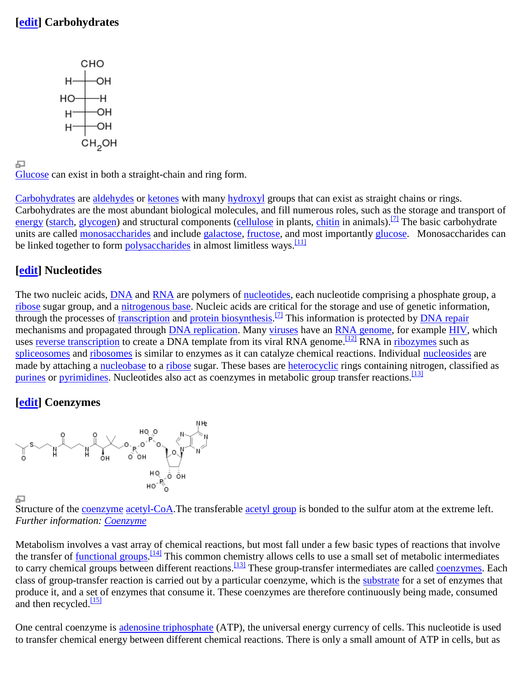## **[\[edit\]](http://en.wikipedia.org/w/index.php?title=Metabolism&action=edit§ion=4) Carbohydrates**



모

[Glucose](http://en.wikipedia.org/wiki/Glucose) can exist in both a straight-chain and ring form.

[Carbohydrates](http://en.wikipedia.org/wiki/Carbohydrate) are [aldehydes](http://en.wikipedia.org/wiki/Aldehyde) or [ketones](http://en.wikipedia.org/wiki/Ketone) with many [hydroxyl](http://en.wikipedia.org/wiki/Hydroxyl) groups that can exist as straight chains or rings. Carbohydrates are the most abundant biological molecules, and fill numerous roles, such as the storage and transport of [energy](http://en.wikipedia.org/wiki/Energy) [\(starch,](http://en.wikipedia.org/wiki/Starch) [glycogen\)](http://en.wikipedia.org/wiki/Glycogen) and structural components [\(cellulose](http://en.wikipedia.org/wiki/Cellulose) in plants, [chitin](http://en.wikipedia.org/wiki/Chitin) in animals).<sup>[\[7\]](http://en.wikipedia.org/wiki/Metabolism#cite_note-Nelson-6)</sup> The basic carbohydrate units are called [monosaccharides](http://en.wikipedia.org/wiki/Monosaccharide) and include [galactose,](http://en.wikipedia.org/wiki/Galactose) [fructose,](http://en.wikipedia.org/wiki/Fructose) and most importantly [glucose.](http://en.wikipedia.org/wiki/Glucose) Monosaccharides can be linked together to form [polysaccharides](http://en.wikipedia.org/wiki/Polysaccharide) in almost limitless ways.  $\frac{[11]}{[11]}$  $\frac{[11]}{[11]}$  $\frac{[11]}{[11]}$ 

## **[\[edit\]](http://en.wikipedia.org/w/index.php?title=Metabolism&action=edit§ion=5) Nucleotides**

The two nucleic acids, **DNA** and [RNA](http://en.wikipedia.org/wiki/RNA) are polymers of [nucleotides,](http://en.wikipedia.org/wiki/Nucleotide) each nucleotide comprising a phosphate group, a [ribose](http://en.wikipedia.org/wiki/Ribose) sugar group, and a [nitrogenous base.](http://en.wikipedia.org/wiki/Nitrogenous_base) Nucleic acids are critical for the storage and use of genetic information, through the processes of [transcription](http://en.wikipedia.org/wiki/Transcription_(genetics)) and [protein biosynthesis.](http://en.wikipedia.org/wiki/Protein_biosynthesis)<sup>[\[7\]](http://en.wikipedia.org/wiki/Metabolism#cite_note-Nelson-6)</sup> This information is protected by **DNA repair** mechanisms and propagated through <u>DNA replication</u>. Many [viruses](http://en.wikipedia.org/wiki/Virus) have an [RNA genome,](http://en.wikipedia.org/wiki/RNA_virus) for example [HIV,](http://en.wikipedia.org/wiki/HIV) which uses [reverse transcription](http://en.wikipedia.org/wiki/Reverse_transcription) to create a DNA template from its viral RNA genome.<sup>[\[12\]](http://en.wikipedia.org/wiki/Metabolism#cite_note-11)</sup> RNA in [ribozymes](http://en.wikipedia.org/wiki/Ribozyme) such as [spliceosomes](http://en.wikipedia.org/wiki/Spliceosome) and [ribosomes](http://en.wikipedia.org/wiki/Ribosome) is similar to enzymes as it can catalyze chemical reactions. Individual [nucleosides](http://en.wikipedia.org/wiki/Nucleoside) are made by attaching a [nucleobase](http://en.wikipedia.org/wiki/Nucleobase) to a [ribose](http://en.wikipedia.org/wiki/Ribose) sugar. These bases are [heterocyclic](http://en.wikipedia.org/wiki/Heterocyclic) rings containing nitrogen, classified as [purines](http://en.wikipedia.org/wiki/Purine) or [pyrimidines.](http://en.wikipedia.org/wiki/Pyrimidine) Nucleotides also act as coenzymes in metabolic group transfer reactions.<sup>[\[13\]](http://en.wikipedia.org/wiki/Metabolism#cite_note-Wimmer-12)</sup>

## **[\[edit\]](http://en.wikipedia.org/w/index.php?title=Metabolism&action=edit§ion=6) Coenzymes**



모

Structure of the [coenzyme](http://en.wikipedia.org/wiki/Coenzyme) [acetyl-CoA.](http://en.wikipedia.org/wiki/Acetyl-CoA)The transferable [acetyl group](http://en.wikipedia.org/wiki/Acetyl) is bonded to the sulfur atom at the extreme left. *Further information: [Coenzyme](http://en.wikipedia.org/wiki/Coenzyme)*

Metabolism involves a vast array of chemical reactions, but most fall under a few basic types of reactions that involve the transfer of <u>functional groups.<sup>[\[14\]](http://en.wikipedia.org/wiki/Metabolism#cite_note-13)</sup></u> This common chemistry allows cells to use a small set of metabolic intermediates to carry chemical groups between different reactions.<sup>[\[13\]](http://en.wikipedia.org/wiki/Metabolism#cite_note-Wimmer-12)</sup> These group-transfer intermediates are called **coenzymes**. Each class of group-transfer reaction is carried out by a particular coenzyme, which is the [substrate](http://en.wikipedia.org/wiki/Substrate_(biochemistry)) for a set of enzymes that produce it, and a set of enzymes that consume it. These coenzymes are therefore continuously being made, consumed and then recycled. $\frac{[15]}{[15]}$  $\frac{[15]}{[15]}$  $\frac{[15]}{[15]}$ 

One central coenzyme is [adenosine triphosphate](http://en.wikipedia.org/wiki/Adenosine_triphosphate) (ATP), the universal energy currency of cells. This nucleotide is used to transfer chemical energy between different chemical reactions. There is only a small amount of ATP in cells, but as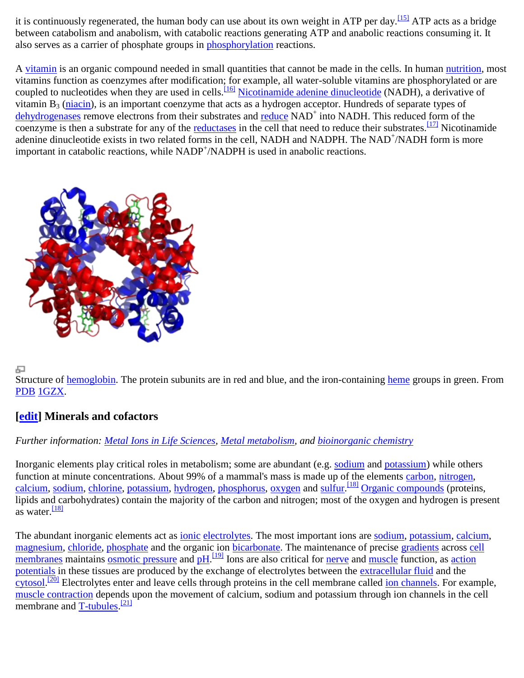it is continuously regenerated, the human body can use about its own weight in ATP per day.<sup>[\[15\]](http://en.wikipedia.org/wiki/Metabolism#cite_note-Dimroth-14)</sup> ATP acts as a bridge between catabolism and anabolism, with catabolic reactions generating ATP and anabolic reactions consuming it. It also serves as a carrier of phosphate groups in [phosphorylation](http://en.wikipedia.org/wiki/Phosphorylation) reactions.

A [vitamin](http://en.wikipedia.org/wiki/Vitamin) is an organic compound needed in small quantities that cannot be made in the cells. In human [nutrition,](http://en.wikipedia.org/wiki/Nutrition) most vitamins function as coenzymes after modification; for example, all water-soluble vitamins are phosphorylated or are coupled to nucleotides when they are used in cells.<sup>[\[16\]](http://en.wikipedia.org/wiki/Metabolism#cite_note-15)</sup> [Nicotinamide adenine dinucleotide](http://en.wikipedia.org/wiki/Nicotinamide_adenine_dinucleotide) (NADH), a derivative of vitamin  $B_3$  [\(niacin\)](http://en.wikipedia.org/wiki/Niacin), is an important coenzyme that acts as a hydrogen acceptor. Hundreds of separate types of [dehydrogenases](http://en.wikipedia.org/wiki/Dehydrogenase) remove electrons from their substrates and [reduce](http://en.wikipedia.org/wiki/Redox) NAD<sup>+</sup> into NADH. This reduced form of the coenzyme is then a substrate for any of the [reductases](http://en.wikipedia.org/wiki/Reductase) in the cell that need to reduce their substrates.<sup>[\[17\]](http://en.wikipedia.org/wiki/Metabolism#cite_note-16)</sup> Nicotinamide adenine dinucleotide exists in two related forms in the cell, NADH and NADPH. The NAD<sup>+</sup>/NADH form is more important in catabolic reactions, while NADP<sup>+</sup>/NADPH is used in anabolic reactions.



#### 모

Structure of [hemoglobin.](http://en.wikipedia.org/wiki/Hemoglobin) The protein subunits are in red and blue, and the iron-containing [heme](http://en.wikipedia.org/wiki/Heme) groups in green. From [PDB](http://en.wikipedia.org/wiki/Protein_Data_Bank) [1GZX.](http://www.rcsb.org/pdb/explore/explore.do?structureId=1GZX)

#### **[\[edit\]](http://en.wikipedia.org/w/index.php?title=Metabolism&action=edit§ion=7) Minerals and cofactors**

#### *Further information: [Metal Ions in Life Sciences,](http://en.wikipedia.org/wiki/Metal_Ions_in_Life_Sciences) [Metal metabolism,](http://en.wikipedia.org/wiki/Metal_metabolism) and [bioinorganic chemistry](http://en.wikipedia.org/wiki/Bioinorganic_chemistry)*

Inorganic elements play critical roles in metabolism; some are abundant (e.g. [sodium](http://en.wikipedia.org/wiki/Sodium) and [potassium\)](http://en.wikipedia.org/wiki/Potassium) while others function at minute concentrations. About 99% of a mammal's mass is made up of the elements [carbon,](http://en.wikipedia.org/wiki/Carbon) [nitrogen,](http://en.wikipedia.org/wiki/Nitrogen) [calcium,](http://en.wikipedia.org/wiki/Calcium) [sodium,](http://en.wikipedia.org/wiki/Sodium) [chlorine,](http://en.wikipedia.org/wiki/Chlorine) [potassium,](http://en.wikipedia.org/wiki/Potassium) [hydrogen,](http://en.wikipedia.org/wiki/Hydrogen) [phosphorus,](http://en.wikipedia.org/wiki/Phosphorus) [oxygen](http://en.wikipedia.org/wiki/Oxygen) and [sulfur.](http://en.wikipedia.org/wiki/Sulfur)<sup>[\[18\]](http://en.wikipedia.org/wiki/Metabolism#cite_note-Heymsfield-17)</sup> [Organic compounds](http://en.wikipedia.org/wiki/Organic_compound) (proteins, lipids and carbohydrates) contain the majority of the carbon and nitrogen; most of the oxygen and hydrogen is present as water. $\frac{[18]}{[18]}$  $\frac{[18]}{[18]}$  $\frac{[18]}{[18]}$ 

The abundant inorganic elements act as *ionic* [electrolytes.](http://en.wikipedia.org/wiki/Electrolyte) The most important ions are [sodium,](http://en.wikipedia.org/wiki/Sodium) [potassium,](http://en.wikipedia.org/wiki/Potassium) [calcium,](http://en.wikipedia.org/wiki/Calcium) [magnesium,](http://en.wikipedia.org/wiki/Magnesium) [chloride,](http://en.wikipedia.org/wiki/Chloride) [phosphate](http://en.wikipedia.org/wiki/Phosphate) and the organic ion [bicarbonate.](http://en.wikipedia.org/wiki/Bicarbonate) The maintenance of precise [gradients](http://en.wikipedia.org/wiki/Ion_gradient) across [cell](http://en.wikipedia.org/wiki/Cell_membrane)  [membranes](http://en.wikipedia.org/wiki/Cell_membrane) maintains **osmotic pressure** and [pH.](http://en.wikipedia.org/wiki/PH)<sup>[\[19\]](http://en.wikipedia.org/wiki/Metabolism#cite_note-18)</sup> Ions are also critical for <u>nerve</u> and [muscle](http://en.wikipedia.org/wiki/Muscle) function, as action [potentials](http://en.wikipedia.org/wiki/Action_potential) in these tissues are produced by the exchange of electrolytes between the [extracellular fluid](http://en.wikipedia.org/wiki/Extracellular_fluid) and the  $\frac{[20]}{[20]}$  $\frac{[20]}{[20]}$  $\frac{[20]}{[20]}$  Electrolytes enter and leave cells through proteins in the cell membrane called [ion channels.](http://en.wikipedia.org/wiki/Ion_channel) For example, [muscle contraction](http://en.wikipedia.org/wiki/Muscle_contraction) depends upon the movement of calcium, sodium and potassium through ion channels in the cell membrane and [T-tubules.](http://en.wikipedia.org/wiki/T-tubule)<sup>[\[21\]](http://en.wikipedia.org/wiki/Metabolism#cite_note-20)</sup>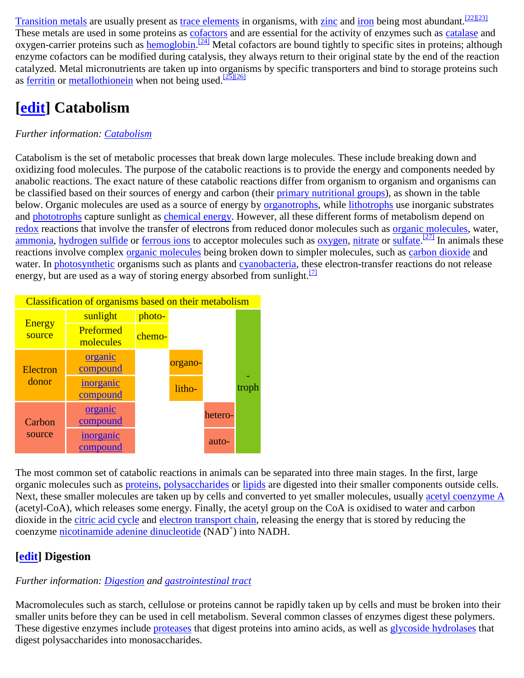[Transition metals](http://en.wikipedia.org/wiki/Transition_metal) are usually present as [trace elements](http://en.wikipedia.org/wiki/Trace_element) in organisms, with [zinc](http://en.wikipedia.org/wiki/Zinc) and [iron](http://en.wikipedia.org/wiki/Iron) being most abundant.<sup>[\[22\]\[23\]](http://en.wikipedia.org/wiki/Metabolism#cite_note-21)</sup> These metals are used in some proteins as **cofactors** and are essential for the activity of enzymes such as **catalase** and oxygen-carrier proteins such as **hemoglobin.**<sup>[\[24\]](http://en.wikipedia.org/wiki/Metabolism#cite_note-23)</sup> Metal cofactors are bound tightly to specific sites in proteins; although enzyme cofactors can be modified during catalysis, they always return to their original state by the end of the reaction catalyzed. Metal micronutrients are taken up into organisms by specific transporters and bind to storage proteins such as <u>ferritin</u> or <u>metallothionein</u> when not being used.<sup>[\[25\]\[26\]](http://en.wikipedia.org/wiki/Metabolism#cite_note-24)</sup>

# **[\[edit\]](http://en.wikipedia.org/w/index.php?title=Metabolism&action=edit§ion=8) Catabolism**

## *Further information: [Catabolism](http://en.wikipedia.org/wiki/Catabolism)*

Catabolism is the set of metabolic processes that break down large molecules. These include breaking down and oxidizing food molecules. The purpose of the catabolic reactions is to provide the energy and components needed by anabolic reactions. The exact nature of these catabolic reactions differ from organism to organism and organisms can be classified based on their sources of energy and carbon (their [primary nutritional groups\)](http://en.wikipedia.org/wiki/Primary_nutritional_groups), as shown in the table below. Organic molecules are used as a source of energy by [organotrophs,](http://en.wikipedia.org/wiki/Organotroph) while [lithotrophs](http://en.wikipedia.org/wiki/Lithotroph) use inorganic substrates and [phototrophs](http://en.wikipedia.org/wiki/Phototroph) capture sunlight as [chemical energy.](http://en.wikipedia.org/wiki/Potential_energy#Chemical_potential_energy) However, all these different forms of metabolism depend on [redox](http://en.wikipedia.org/wiki/Redox) reactions that involve the transfer of electrons from reduced donor molecules such as [organic molecules,](http://en.wikipedia.org/wiki/Organic_molecule) water,  $\overline{\text{ammonia}}$ , [hydrogen sulfide](http://en.wikipedia.org/wiki/Hydrogen_sulfide) or [ferrous ions](http://en.wikipedia.org/wiki/Ferrous) to acceptor molecules such as <u>oxygen, [nitrate](http://en.wikipedia.org/wiki/Nitrate)</u> or [sulfate.](http://en.wikipedia.org/wiki/Sulfate)<sup>[\[27\]](http://en.wikipedia.org/wiki/Metabolism#cite_note-26)</sup> In animals these reactions involve complex [organic molecules](http://en.wikipedia.org/wiki/Organic_molecule) being broken down to simpler molecules, such as [carbon dioxide](http://en.wikipedia.org/wiki/Carbon_dioxide) and water. In [photosynthetic](http://en.wikipedia.org/wiki/Photosynthesis) organisms such as plants and [cyanobacteria,](http://en.wikipedia.org/wiki/Cyanobacteria) these electron-transfer reactions do not release energy, but are used as a way of storing energy absorbed from sunlight.  $\frac{[7]}{[7]}$  $\frac{[7]}{[7]}$  $\frac{[7]}{[7]}$ 

| <b>Classification of organisms based on their metabolism</b> |                        |        |         |         |       |  |  |  |  |  |  |
|--------------------------------------------------------------|------------------------|--------|---------|---------|-------|--|--|--|--|--|--|
|                                                              | sunlight               | photo- |         |         |       |  |  |  |  |  |  |
| Energy<br>source                                             | Preformed<br>molecules | chemo- |         |         |       |  |  |  |  |  |  |
| Electron                                                     | organic<br>compound    |        | organo- |         |       |  |  |  |  |  |  |
| donor                                                        | inorganic<br>compound  |        | litho-  |         | troph |  |  |  |  |  |  |
| Carbon                                                       | organic<br>compound    |        |         | hetero- |       |  |  |  |  |  |  |
| source                                                       | inorganic<br>compound  |        |         | auto-   |       |  |  |  |  |  |  |

The most common set of catabolic reactions in animals can be separated into three main stages. In the first, large organic molecules such as [proteins,](http://en.wikipedia.org/wiki/Protein) [polysaccharides](http://en.wikipedia.org/wiki/Polysaccharide) or [lipids](http://en.wikipedia.org/wiki/Lipid) are digested into their smaller components outside cells. Next, these smaller molecules are taken up by cells and converted to yet smaller molecules, usually [acetyl coenzyme A](http://en.wikipedia.org/wiki/Acetyl-CoA) (acetyl-CoA), which releases some energy. Finally, the acetyl group on the CoA is oxidised to water and carbon dioxide in the [citric acid cycle](http://en.wikipedia.org/wiki/Citric_acid_cycle) and [electron transport chain,](http://en.wikipedia.org/wiki/Electron_transport_chain) releasing the energy that is stored by reducing the coenzyme [nicotinamide adenine dinucleotide](http://en.wikipedia.org/wiki/Nicotinamide_adenine_dinucleotide) (NAD<sup>+</sup>) into NADH.

## **[\[edit\]](http://en.wikipedia.org/w/index.php?title=Metabolism&action=edit§ion=9) Digestion**

## *Further information: [Digestion](http://en.wikipedia.org/wiki/Digestion) and [gastrointestinal tract](http://en.wikipedia.org/wiki/Gastrointestinal_tract)*

Macromolecules such as starch, cellulose or proteins cannot be rapidly taken up by cells and must be broken into their smaller units before they can be used in cell metabolism. Several common classes of enzymes digest these polymers. These digestive enzymes include [proteases](http://en.wikipedia.org/wiki/Protease) that digest proteins into amino acids, as well as [glycoside hydrolases](http://en.wikipedia.org/wiki/Glycoside_hydrolase) that digest polysaccharides into monosaccharides.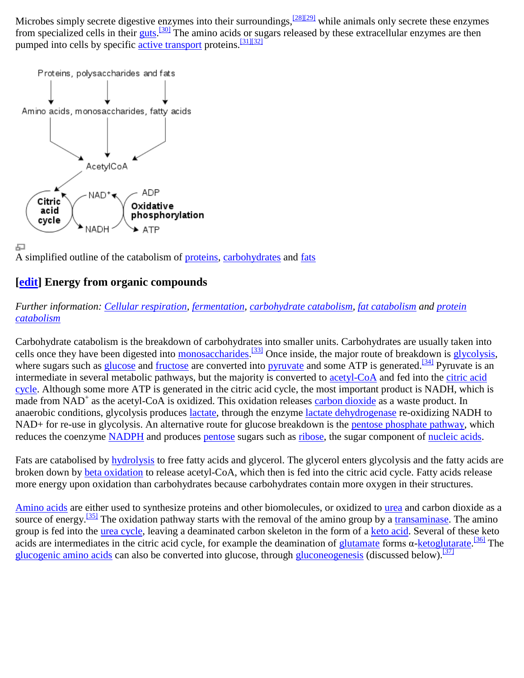Microbes simply secrete digestive enzymes into their surroundings,  $\frac{[28][29]}{]}$  $\frac{[28][29]}{]}$  $\frac{[28][29]}{]}$  while animals only secrete these enzymes from specialized cells in their [guts.](http://en.wikipedia.org/wiki/Gut_(zoology))<sup>[\[30\]](http://en.wikipedia.org/wiki/Metabolism#cite_note-29)</sup> The amino acids or sugars released by these extracellular enzymes are then pumped into cells by specific [active transport](http://en.wikipedia.org/wiki/Active_transport) proteins.<sup>[\[31\]\[32\]](http://en.wikipedia.org/wiki/Metabolism#cite_note-30)</sup>



A simplified outline of the catabolism of [proteins,](http://en.wikipedia.org/wiki/Protein) [carbohydrates](http://en.wikipedia.org/wiki/Carbohydrate) and [fats](http://en.wikipedia.org/wiki/Fat)

## **[\[edit\]](http://en.wikipedia.org/w/index.php?title=Metabolism&action=edit§ion=10) Energy from organic compounds**

#### *Further information: [Cellular respiration,](http://en.wikipedia.org/wiki/Cellular_respiration) [fermentation,](http://en.wikipedia.org/wiki/Fermentation_(biochemistry)) [carbohydrate catabolism,](http://en.wikipedia.org/wiki/Carbohydrate_catabolism) [fat catabolism](http://en.wikipedia.org/wiki/Fat_catabolism) and [protein](http://en.wikipedia.org/wiki/Protein_catabolism)  [catabolism](http://en.wikipedia.org/wiki/Protein_catabolism)*

Carbohydrate catabolism is the breakdown of carbohydrates into smaller units. Carbohydrates are usually taken into cells once they have been digested into [monosaccharides.](http://en.wikipedia.org/wiki/Monosaccharide)<sup>[\[33\]](http://en.wikipedia.org/wiki/Metabolism#cite_note-32)</sup> Once inside, the major route of breakdown is <u>glycolysis</u>, where sugars such as [glucose](http://en.wikipedia.org/wiki/Glucose) and [fructose](http://en.wikipedia.org/wiki/Fructose) are converted into [pyruvate](http://en.wikipedia.org/wiki/Pyruvic_acid) and some ATP is generated.<sup>[\[34\]](http://en.wikipedia.org/wiki/Metabolism#cite_note-Bouche-33)</sup> Pyruvate is an intermediate in several metabolic pathways, but the majority is converted to [acetyl-CoA](http://en.wikipedia.org/wiki/Acetyl-CoA) and fed into the [citric acid](http://en.wikipedia.org/wiki/Citric_acid_cycle)  [cycle.](http://en.wikipedia.org/wiki/Citric_acid_cycle) Although some more ATP is generated in the citric acid cycle, the most important product is NADH, which is  $\overline{m}$  made from NAD<sup>+</sup> as the acetyl-CoA is oxidized. This oxidation releases [carbon dioxide](http://en.wikipedia.org/wiki/Carbon_dioxide) as a waste product. In anaerobic conditions, glycolysis produces [lactate,](http://en.wikipedia.org/wiki/Lactic_acid) through the enzyme [lactate dehydrogenase](http://en.wikipedia.org/wiki/Lactate_dehydrogenase) re-oxidizing NADH to NAD+ for re-use in glycolysis. An alternative route for glucose breakdown is the [pentose phosphate pathway,](http://en.wikipedia.org/wiki/Pentose_phosphate_pathway) which reduces the coenzyme [NADPH](http://en.wikipedia.org/wiki/NADPH) and produces [pentose](http://en.wikipedia.org/wiki/Pentose) sugars such as [ribose,](http://en.wikipedia.org/wiki/Ribose) the sugar component of [nucleic acids.](http://en.wikipedia.org/wiki/Nucleic_acid)

Fats are catabolised by [hydrolysis](http://en.wikipedia.org/wiki/Hydrolysis) to free fatty acids and glycerol. The glycerol enters glycolysis and the fatty acids are broken down by [beta oxidation](http://en.wikipedia.org/wiki/Beta_oxidation) to release acetyl-CoA, which then is fed into the citric acid cycle. Fatty acids release more energy upon oxidation than carbohydrates because carbohydrates contain more oxygen in their structures.

[Amino acids](http://en.wikipedia.org/wiki/Amino_acid) are either used to synthesize proteins and other biomolecules, or oxidized to [urea](http://en.wikipedia.org/wiki/Urea) and carbon dioxide as a source of energy.<sup>[\[35\]](http://en.wikipedia.org/wiki/Metabolism#cite_note-34)</sup> The oxidation pathway starts with the removal of the amino group by a [transaminase.](http://en.wikipedia.org/wiki/Transaminase) The amino group is fed into the [urea cycle,](http://en.wikipedia.org/wiki/Urea_cycle) leaving a deaminated carbon skeleton in the form of a [keto acid.](http://en.wikipedia.org/wiki/Keto_acid) Several of these keto acids are intermediates in the citric acid cycle, for example the deamination of [glutamate](http://en.wikipedia.org/wiki/Glutamate) forms α[-ketoglutarate.](http://en.wikipedia.org/wiki/Alpha-Ketoglutaric_acid)<sup>[\[36\]](http://en.wikipedia.org/wiki/Metabolism#cite_note-35)</sup> The [glucogenic amino acids](http://en.wikipedia.org/wiki/Glucogenic_amino_acid) can also be converted into glucose, through [gluconeogenesis](http://en.wikipedia.org/wiki/Gluconeogenesis) (discussed below).<sup>[\[37\]](http://en.wikipedia.org/wiki/Metabolism#cite_note-36)</sup>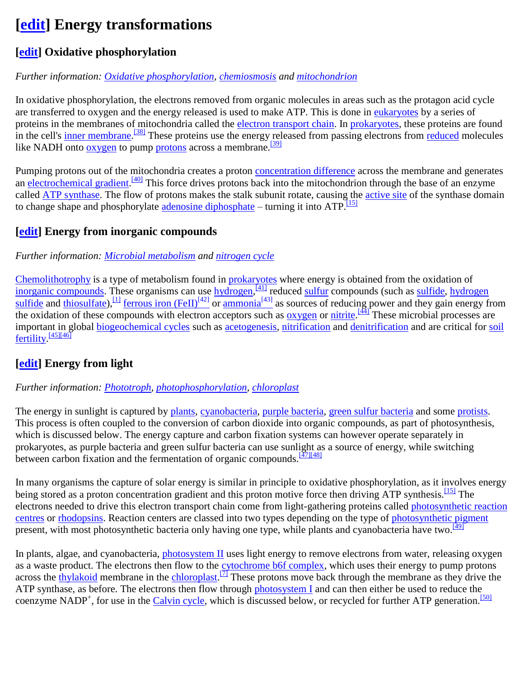# **[\[edit\]](http://en.wikipedia.org/w/index.php?title=Metabolism&action=edit§ion=11) Energy transformations**

## **[\[edit\]](http://en.wikipedia.org/w/index.php?title=Metabolism&action=edit§ion=12) Oxidative phosphorylation**

#### *Further information: [Oxidative phosphorylation,](http://en.wikipedia.org/wiki/Oxidative_phosphorylation) [chemiosmosis](http://en.wikipedia.org/wiki/Chemiosmosis) and [mitochondrion](http://en.wikipedia.org/wiki/Mitochondrion)*

In oxidative phosphorylation, the electrons removed from organic molecules in areas such as the protagon acid cycle are transferred to oxygen and the energy released is used to make ATP. This is done in [eukaryotes](http://en.wikipedia.org/wiki/Eukaryote) by a series of proteins in the membranes of mitochondria called the [electron transport chain.](http://en.wikipedia.org/wiki/Electron_transport_chain) In [prokaryotes,](http://en.wikipedia.org/wiki/Prokaryote) these proteins are found in the cell's <u>inner membrane.<sup>[\[38\]](http://en.wikipedia.org/wiki/Metabolism#cite_note-37)</sup></u> These proteins use the energy released from passing electrons from [reduced](http://en.wikipedia.org/wiki/Reducing_agent) molecules like NADH onto [oxygen](http://en.wikipedia.org/wiki/Oxygen) to pump [protons](http://en.wikipedia.org/wiki/Proton) across a membrane.<sup>[\[39\]](http://en.wikipedia.org/wiki/Metabolism#cite_note-38)</sup>

Pumping protons out of the mitochondria creates a proton [concentration difference](http://en.wikipedia.org/wiki/Diffusion) across the membrane and generates an [electrochemical gradient.](http://en.wikipedia.org/wiki/Electrochemical_gradient)<sup>[\[40\]](http://en.wikipedia.org/wiki/Metabolism#cite_note-39)</sup> This force drives protons back into the mitochondrion through the base of an enzyme called [ATP synthase.](http://en.wikipedia.org/wiki/ATP_synthase) The flow of protons makes the stalk subunit rotate, causing the [active site](http://en.wikipedia.org/wiki/Active_site) of the synthase domain to change shape and phosphorylate [adenosine diphosphate](http://en.wikipedia.org/wiki/Adenosine_diphosphate) – turning it into  $ATP$ .<sup>[\[15\]](http://en.wikipedia.org/wiki/Metabolism#cite_note-Dimroth-14)</sup>

## **[\[edit\]](http://en.wikipedia.org/w/index.php?title=Metabolism&action=edit§ion=13) Energy from inorganic compounds**

#### *Further information: [Microbial metabolism](http://en.wikipedia.org/wiki/Microbial_metabolism) and [nitrogen cycle](http://en.wikipedia.org/wiki/Nitrogen_cycle)*

[Chemolithotrophy](http://en.wikipedia.org/wiki/Chemolithotroph) is a type of metabolism found in [prokaryotes](http://en.wikipedia.org/wiki/Prokaryote) where energy is obtained from the oxidation of [inorganic compounds.](http://en.wikipedia.org/wiki/Inorganic_compound) These organisms can use  $hydrogen$ ,  $\frac{[41]}{1}$  $\frac{[41]}{1}$  $\frac{[41]}{1}$  reduced [sulfur](http://en.wikipedia.org/wiki/Sulfur) compounds (such as [sulfide,](http://en.wikipedia.org/wiki/Sulfide) hydrogen [sulfide](http://en.wikipedia.org/wiki/Hydrogen_sulfide) and [thiosulfate\)](http://en.wikipedia.org/wiki/Thiosulfate),  $\frac{11}{2}$  [ferrous iron \(FeII\)](http://en.wikipedia.org/wiki/Iron(II)_oxide)<sup>[\[42\]](http://en.wikipedia.org/wiki/Iron(II)_oxide)</sup> or [ammonia](http://en.wikipedia.org/wiki/Ammonia)<sup>[\[43\]](http://en.wikipedia.org/wiki/Ammonia)</sup> as sources of reducing power and they gain energy from the oxidation of these compounds with electron acceptors such as <u>oxygen</u> or [nitrite.](http://en.wikipedia.org/wiki/Nitrite)<sup>[\[44\]](http://en.wikipedia.org/wiki/Metabolism#cite_note-43)</sup> These microbial processes are important in global [biogeochemical cycles](http://en.wikipedia.org/wiki/Biogeochemical_cycle) such as [acetogenesis,](http://en.wikipedia.org/wiki/Acetogenesis) [nitrification](http://en.wikipedia.org/wiki/Nitrification) and [denitrification](http://en.wikipedia.org/wiki/Denitrification) and are critical for [soil](http://en.wikipedia.org/wiki/Fertility_(soil))  [fertility.](http://en.wikipedia.org/wiki/Fertility_(soil)) [\[45\]\[46\]](http://en.wikipedia.org/wiki/Metabolism#cite_note-44)

## **[\[edit\]](http://en.wikipedia.org/w/index.php?title=Metabolism&action=edit§ion=14) Energy from light**

#### *Further information: [Phototroph,](http://en.wikipedia.org/wiki/Phototroph) [photophosphorylation,](http://en.wikipedia.org/wiki/Photophosphorylation) [chloroplast](http://en.wikipedia.org/wiki/Chloroplast)*

The energy in sunlight is captured by [plants,](http://en.wikipedia.org/wiki/Plant) [cyanobacteria,](http://en.wikipedia.org/wiki/Cyanobacteria) [purple bacteria,](http://en.wikipedia.org/wiki/Purple_bacteria) [green sulfur bacteria](http://en.wikipedia.org/wiki/Green_sulfur_bacteria) and some [protists.](http://en.wikipedia.org/wiki/Protist) This process is often coupled to the conversion of carbon dioxide into organic compounds, as part of photosynthesis, which is discussed below. The energy capture and carbon fixation systems can however operate separately in prokaryotes, as purple bacteria and green sulfur bacteria can use sunlight as a source of energy, while switching between carbon fixation and the fermentation of organic compounds.  $\frac{[47][48]}{[47][48]}$  $\frac{[47][48]}{[47][48]}$  $\frac{[47][48]}{[47][48]}$ 

In many organisms the capture of solar energy is similar in principle to oxidative phosphorylation, as it involves energy being stored as a proton concentration gradient and this proton motive force then driving ATP synthesis.<sup>[\[15\]](http://en.wikipedia.org/wiki/Metabolism#cite_note-Dimroth-14)</sup> The electrons needed to drive this electron transport chain come from light-gathering proteins called [photosynthetic reaction](http://en.wikipedia.org/wiki/Photosynthetic_reaction_centre)  [centres](http://en.wikipedia.org/wiki/Photosynthetic_reaction_centre) or [rhodopsins.](http://en.wikipedia.org/wiki/Rhodopsin) Reaction centers are classed into two types depending on the type of [photosynthetic pigment](http://en.wikipedia.org/wiki/Photosynthetic_pigment) present, with most photosynthetic bacteria only having one type, while plants and cyanobacteria have two.<sup>[\[49\]](http://en.wikipedia.org/wiki/Metabolism#cite_note-48)</sup>

In plants, algae, and cyanobacteria, [photosystem II](http://en.wikipedia.org/wiki/Photosystem) uses light energy to remove electrons from water, releasing oxygen as a waste product. The electrons then flow to the **cytochrome b6f complex**, which uses their energy to pump protons across the **thylakoid** membrane in the [chloroplast.](http://en.wikipedia.org/wiki/Chloroplast)<sup>[\[7\]](http://en.wikipedia.org/wiki/Metabolism#cite_note-Nelson-6)</sup> These protons move back through the membrane as they drive the ATP synthase, as before. The electrons then flow through [photosystem I](http://en.wikipedia.org/wiki/Photosystem) and can then either be used to reduce the coenzyme NADP<sup>+</sup>, for use in the [Calvin cycle,](http://en.wikipedia.org/wiki/Calvin_cycle) which is discussed below, or recycled for further ATP generation.<sup>[\[50\]](http://en.wikipedia.org/wiki/Metabolism#cite_note-49)</sup>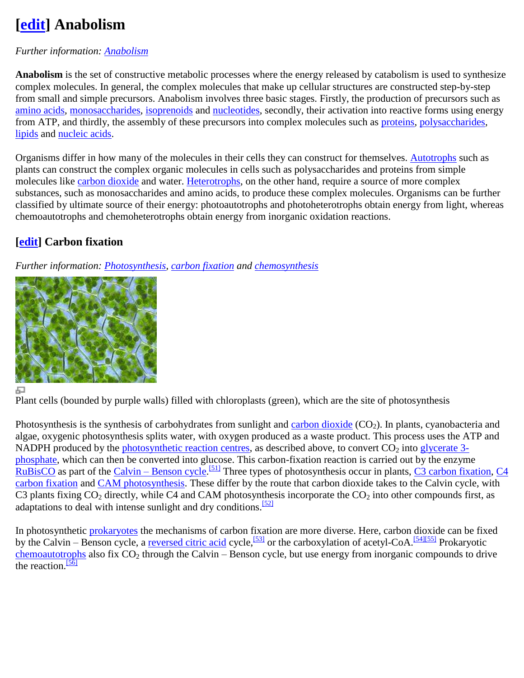# **[\[edit\]](http://en.wikipedia.org/w/index.php?title=Metabolism&action=edit§ion=15) Anabolism**

#### *Further information: [Anabolism](http://en.wikipedia.org/wiki/Anabolism)*

**Anabolism** is the set of constructive metabolic processes where the energy released by catabolism is used to synthesize complex molecules. In general, the complex molecules that make up cellular structures are constructed step-by-step from small and simple precursors. Anabolism involves three basic stages. Firstly, the production of precursors such as [amino acids,](http://en.wikipedia.org/wiki/Amino_acid) [monosaccharides,](http://en.wikipedia.org/wiki/Monosaccharide) [isoprenoids](http://en.wikipedia.org/wiki/Terpenoid) and [nucleotides,](http://en.wikipedia.org/wiki/Nucleotide) secondly, their activation into reactive forms using energy from ATP, and thirdly, the assembly of these precursors into complex molecules such as [proteins,](http://en.wikipedia.org/wiki/Protein) [polysaccharides,](http://en.wikipedia.org/wiki/Polysaccharide) [lipids](http://en.wikipedia.org/wiki/Lipid) and [nucleic acids.](http://en.wikipedia.org/wiki/Nucleic_acid)

Organisms differ in how many of the molecules in their cells they can construct for themselves. [Autotrophs](http://en.wikipedia.org/wiki/Autotroph) such as plants can construct the complex organic molecules in cells such as polysaccharides and proteins from simple molecules like [carbon dioxide](http://en.wikipedia.org/wiki/Carbon_dioxide) and water. [Heterotrophs,](http://en.wikipedia.org/wiki/Heterotroph) on the other hand, require a source of more complex substances, such as monosaccharides and amino acids, to produce these complex molecules. Organisms can be further classified by ultimate source of their energy: photoautotrophs and photoheterotrophs obtain energy from light, whereas chemoautotrophs and chemoheterotrophs obtain energy from inorganic oxidation reactions.

## **[\[edit\]](http://en.wikipedia.org/w/index.php?title=Metabolism&action=edit§ion=16) Carbon fixation**

*Further information: [Photosynthesis,](http://en.wikipedia.org/wiki/Photosynthesis) [carbon fixation](http://en.wikipedia.org/wiki/Carbon_fixation) and [chemosynthesis](http://en.wikipedia.org/wiki/Chemosynthesis)*



#### 모

Plant cells (bounded by purple walls) filled with chloroplasts (green), which are the site of photosynthesis

Photosynthesis is the synthesis of carbohydrates from sunlight and [carbon dioxide](http://en.wikipedia.org/wiki/Carbon_dioxide)  $(CO_2)$ . In plants, cyanobacteria and algae, oxygenic photosynthesis splits water, with oxygen produced as a waste product. This process uses the ATP and NADPH produced by the [photosynthetic reaction centres,](http://en.wikipedia.org/wiki/Photosynthetic_reaction_centre) as described above, to convert  $CO<sub>2</sub>$  into [glycerate 3](http://en.wikipedia.org/wiki/Glycerate_3-phosphate) [phosphate,](http://en.wikipedia.org/wiki/Glycerate_3-phosphate) which can then be converted into glucose. This carbon-fixation reaction is carried out by the enzyme  $\overline{\text{RuBisCO}}$  $\overline{\text{RuBisCO}}$  $\overline{\text{RuBisCO}}$  as part of the Calvin – [Benson cycle.](http://en.wikipedia.org/wiki/Calvin_cycle)<sup>[\[51\]](http://en.wikipedia.org/wiki/Metabolism#cite_note-50)</sup> Three types of photosynthesis occur in plants, [C3 carbon fixation,](http://en.wikipedia.org/wiki/C3_carbon_fixation) C4 [carbon fixation](http://en.wikipedia.org/wiki/C4_carbon_fixation) and [CAM photosynthesis.](http://en.wikipedia.org/wiki/Crassulacean_acid_metabolism) These differ by the route that carbon dioxide takes to the Calvin cycle, with C3 plants fixing  $CO_2$  directly, while C4 and CAM photosynthesis incorporate the  $CO_2$  into other compounds first, as adaptations to deal with intense sunlight and dry conditions.<sup>[\[52\]](http://en.wikipedia.org/wiki/Metabolism#cite_note-51)</sup>

In photosynthetic [prokaryotes](http://en.wikipedia.org/wiki/Prokaryote) the mechanisms of carbon fixation are more diverse. Here, carbon dioxide can be fixed by the Calvin – Benson cycle, a <u>reversed citric acid</u> cycle,<sup>[\[53\]](http://en.wikipedia.org/wiki/Metabolism#cite_note-52)</sup> or the carboxylation of acetyl-CoA.<sup>[\[54\]\[55\]](http://en.wikipedia.org/wiki/Metabolism#cite_note-53)</sup> Prokaryotic  $chemoautotrophs$  $chemoautotrophs$  $chemoautotrophs$  also fix  $CO<sub>2</sub>$  through the Calvin – Benson cycle, but use energy from inorganic compounds to drive</u> the reaction. $\frac{56}{6}$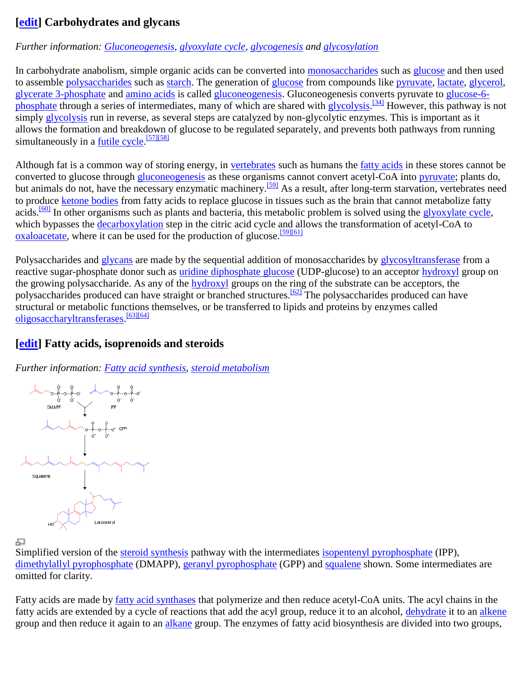## **[\[edit\]](http://en.wikipedia.org/w/index.php?title=Metabolism&action=edit§ion=17) Carbohydrates and glycans**

#### *Further information: [Gluconeogenesis,](http://en.wikipedia.org/wiki/Gluconeogenesis) [glyoxylate cycle,](http://en.wikipedia.org/wiki/Glyoxylate_cycle) [glycogenesis](http://en.wikipedia.org/wiki/Glycogenesis) and [glycosylation](http://en.wikipedia.org/wiki/Glycosylation)*

In carbohydrate anabolism, simple organic acids can be converted into [monosaccharides](http://en.wikipedia.org/wiki/Monosaccharide) such as [glucose](http://en.wikipedia.org/wiki/Glucose) and then used to assemble [polysaccharides](http://en.wikipedia.org/wiki/Polysaccharide) such as [starch.](http://en.wikipedia.org/wiki/Starch) The generation of [glucose](http://en.wikipedia.org/wiki/Glucose) from compounds like [pyruvate,](http://en.wikipedia.org/wiki/Pyruvate) [lactate,](http://en.wikipedia.org/wiki/Lactic_acid) [glycerol,](http://en.wikipedia.org/wiki/Glycerol) [glycerate 3-phosphate](http://en.wikipedia.org/wiki/Glycerate_3-phosphate) and [amino acids](http://en.wikipedia.org/wiki/Amino_acid) is called [gluconeogenesis.](http://en.wikipedia.org/wiki/Gluconeogenesis) Gluconeogenesis converts pyruvate to [glucose-6](http://en.wikipedia.org/wiki/Glucose-6-phosphate) [phosphate](http://en.wikipedia.org/wiki/Glucose-6-phosphate) through a series of intermediates, many of which are shared with [glycolysis.](http://en.wikipedia.org/wiki/Glycolysis)<sup>[\[34\]](http://en.wikipedia.org/wiki/Metabolism#cite_note-Bouche-33)</sup> However, this pathway is not simply [glycolysis](http://en.wikipedia.org/wiki/Glycolysis) run in reverse, as several steps are catalyzed by non-glycolytic enzymes. This is important as it allows the formation and breakdown of glucose to be regulated separately, and prevents both pathways from running simultaneously in a <u>futile cycle.<sup>[\[57\]\[58\]](http://en.wikipedia.org/wiki/Metabolism#cite_note-56)</sub></u></u></sup>

Although fat is a common way of storing energy, in [vertebrates](http://en.wikipedia.org/wiki/Vertebrate) such as humans the [fatty acids](http://en.wikipedia.org/wiki/Fatty_acid) in these stores cannot be converted to glucose through *gluconeogenesis* as these organisms cannot convert acetyl-CoA into *pyruvate*; plants do, but animals do not, have the necessary enzymatic machinery.<sup>[\[59\]](http://en.wikipedia.org/wiki/Metabolism#cite_note-Ensign-58)</sup> As a result, after long-term starvation, vertebrates need to produce [ketone bodies](http://en.wikipedia.org/wiki/Ketone_body) from fatty acids to replace glucose in tissues such as the brain that cannot metabolize fatty  $a$ cids.<sup>[\[60\]](http://en.wikipedia.org/wiki/Metabolism#cite_note-59)</sup> In other organisms such as plants and bacteria, this metabolic problem is solved using the [glyoxylate cycle,](http://en.wikipedia.org/wiki/Glyoxylate_cycle) which bypasses the [decarboxylation](http://en.wikipedia.org/wiki/Decarboxylation) step in the citric acid cycle and allows the transformation of acetyl-CoA to [oxaloacetate,](http://en.wikipedia.org/wiki/Oxaloacetate) where it can be used for the production of glucose.<sup>[\[59\]\[61\]](http://en.wikipedia.org/wiki/Metabolism#cite_note-Ensign-58)</sup>

Polysaccharides and [glycans](http://en.wikipedia.org/wiki/Glycan) are made by the sequential addition of monosaccharides by [glycosyltransferase](http://en.wikipedia.org/wiki/Glycosyltransferase) from a reactive sugar-phosphate donor such as [uridine diphosphate glucose](http://en.wikipedia.org/wiki/Uridine_diphosphate_glucose) (UDP-glucose) to an acceptor [hydroxyl](http://en.wikipedia.org/wiki/Hydroxyl) group on the growing polysaccharide. As any of the [hydroxyl](http://en.wikipedia.org/wiki/Hydroxyl) groups on the ring of the substrate can be acceptors, the polysaccharides produced can have straight or branched structures.<sup>[\[62\]](http://en.wikipedia.org/wiki/Metabolism#cite_note-61)</sup> The polysaccharides produced can have structural or metabolic functions themselves, or be transferred to lipids and proteins by enzymes called <u>[oligosaccharyltransferases.](http://en.wikipedia.org/wiki/Oligosaccharyltransferase)<sup>[\[63\]\[64\]](http://en.wikipedia.org/wiki/Metabolism#cite_note-62)</u></u></sup>

## **[\[edit\]](http://en.wikipedia.org/w/index.php?title=Metabolism&action=edit§ion=18) Fatty acids, isoprenoids and steroids**

*Further information: [Fatty acid synthesis,](http://en.wikipedia.org/wiki/Fatty_acid_synthesis) [steroid metabolism](http://en.wikipedia.org/wiki/Steroid_metabolism)*



모

Simplified version of the [steroid synthesis](http://en.wikipedia.org/wiki/Steroid_synthesis) pathway with the intermediates [isopentenyl pyrophosphate](http://en.wikipedia.org/wiki/Isopentenyl_pyrophosphate) (IPP), [dimethylallyl pyrophosphate](http://en.wikipedia.org/wiki/Dimethylallyl_pyrophosphate) (DMAPP), geranyl [pyrophosphate](http://en.wikipedia.org/wiki/Geranyl_pyrophosphate) (GPP) and [squalene](http://en.wikipedia.org/wiki/Squalene) shown. Some intermediates are omitted for clarity.

Fatty acids are made by [fatty acid synthases](http://en.wikipedia.org/wiki/Fatty_acid_synthase) that polymerize and then reduce acetyl-CoA units. The acyl chains in the fatty acids are extended by a cycle of reactions that add the acyl group, reduce it to an alcohol, [dehydrate](http://en.wikipedia.org/wiki/Dehydration_reaction) it to an [alkene](http://en.wikipedia.org/wiki/Alkene) group and then reduce it again to an [alkane](http://en.wikipedia.org/wiki/Alkane) group. The enzymes of fatty acid biosynthesis are divided into two groups,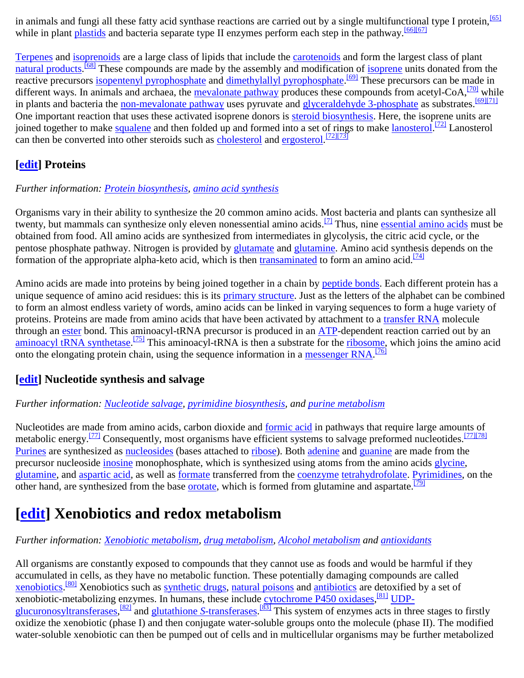in animals and fungi all these fatty acid synthase reactions are carried out by a single multifunctional type I protein, <sup>[\[65\]](http://en.wikipedia.org/wiki/Metabolism#cite_note-64)</sup> while in plant [plastids](http://en.wikipedia.org/wiki/Plastid) and bacteria separate type II enzymes perform each step in the pathway.<sup>[\[66\]\[67\]](http://en.wikipedia.org/wiki/Metabolism#cite_note-65)</sup>

[Terpenes](http://en.wikipedia.org/wiki/Terpene) and [isoprenoids](http://en.wikipedia.org/wiki/Terpenoid) are a large class of lipids that include the [carotenoids](http://en.wikipedia.org/wiki/Carotenoid) and form the largest class of plant [natural products.](http://en.wikipedia.org/wiki/Natural_product)<sup>[\[68\]](http://en.wikipedia.org/wiki/Metabolism#cite_note-67)</sup> These compounds are made by the assembly and modification of <u>isoprene</u> units donated from the reactive precursors [isopentenyl pyrophosphate](http://en.wikipedia.org/wiki/Isopentenyl_pyrophosphate) and dimethylallyl [pyrophosphate.](http://en.wikipedia.org/wiki/Dimethylallyl_pyrophosphate)<sup>[\[69\]](http://en.wikipedia.org/wiki/Metabolism#cite_note-Kuzuyama-68)</sup> These precursors can be made in different ways. In animals and archaea, the [mevalonate pathway](http://en.wikipedia.org/wiki/Mevalonate_pathway) produces these compounds from acetyl-CoA,<sup>[\[70\]](http://en.wikipedia.org/wiki/Metabolism#cite_note-69)</sup> while in plants and bacteria the <u>non-mevalonate pathway</u> uses pyruvate and [glyceraldehyde 3-phosphate](http://en.wikipedia.org/wiki/Glyceraldehyde_3-phosphate) as substrates.<sup>[\[69\]\[71\]](http://en.wikipedia.org/wiki/Metabolism#cite_note-Kuzuyama-68)</sup> One important reaction that uses these activated isoprene donors is [steroid biosynthesis.](http://en.wikipedia.org/wiki/Steroid_biosynthesis) Here, the isoprene units are joined together to make [squalene](http://en.wikipedia.org/wiki/Squalene) and then folded up and formed into a set of rings to make [lanosterol.](http://en.wikipedia.org/wiki/Lanosterol)<sup>[\[72\]](http://en.wikipedia.org/wiki/Metabolism#cite_note-Schroepfer-71)</sup> Lanosterol can then be converted into other steroids such as [cholesterol](http://en.wikipedia.org/wiki/Cholesterol) and [ergosterol.](http://en.wikipedia.org/wiki/Ergosterol)<sup>[\[72\]\[73\]](http://en.wikipedia.org/wiki/Metabolism#cite_note-Schroepfer-71)</sup>

## **[\[edit\]](http://en.wikipedia.org/w/index.php?title=Metabolism&action=edit§ion=19) Proteins**

#### *Further information: [Protein biosynthesis,](http://en.wikipedia.org/wiki/Protein_biosynthesis) [amino acid synthesis](http://en.wikipedia.org/wiki/Amino_acid_synthesis)*

Organisms vary in their ability to synthesize the 20 common amino acids. Most bacteria and plants can synthesize all twenty, but mammals can synthesize only eleven nonessential amino acids.[\[7\]](http://en.wikipedia.org/wiki/Metabolism#cite_note-Nelson-6) Thus, nine [essential amino acids](http://en.wikipedia.org/wiki/Essential_amino_acid) must be obtained from food. All amino acids are synthesized from intermediates in glycolysis, the citric acid cycle, or the pentose phosphate pathway. Nitrogen is provided by [glutamate](http://en.wikipedia.org/wiki/Glutamate) and [glutamine.](http://en.wikipedia.org/wiki/Glutamine) Amino acid synthesis depends on the formation of the appropriate alpha-keto acid, which is then [transaminated](http://en.wikipedia.org/wiki/Transaminase) to form an amino acid.<sup>[\[74\]](http://en.wikipedia.org/wiki/Metabolism#cite_note-73)</sup>

Amino acids are made into proteins by being joined together in a chain by [peptide bonds.](http://en.wikipedia.org/wiki/Peptide_bond) Each different protein has a unique sequence of amino acid residues: this is its [primary structure.](http://en.wikipedia.org/wiki/Primary_structure) Just as the letters of the alphabet can be combined to form an almost endless variety of words, amino acids can be linked in varying sequences to form a huge variety of proteins. Proteins are made from amino acids that have been activated by attachment to a [transfer RNA](http://en.wikipedia.org/wiki/Transfer_RNA) molecule through an [ester](http://en.wikipedia.org/wiki/Ester) bond. This aminoacyl-tRNA precursor is produced in an [ATP-](http://en.wikipedia.org/wiki/Adenosine_triphosphate)dependent reaction carried out by an  $\frac{\text{aminoacyl tRNA}$  synthetase.<sup>[\[75\]](http://en.wikipedia.org/wiki/Metabolism#cite_note-74)</sup> This aminoacyl-tRNA is then a substrate for the [ribosome,](http://en.wikipedia.org/wiki/Ribosome) which joins the amino acid onto the elongating protein chain, using the sequence information in a [messenger RNA.](http://en.wikipedia.org/wiki/Messenger_RNA)<sup>[\[76\]](http://en.wikipedia.org/wiki/Metabolism#cite_note-75)</sup>

## **[\[edit\]](http://en.wikipedia.org/w/index.php?title=Metabolism&action=edit§ion=20) Nucleotide synthesis and salvage**

#### *Further information: [Nucleotide salvage,](http://en.wikipedia.org/wiki/Nucleotide_salvage) [pyrimidine biosynthesis,](http://en.wikipedia.org/wiki/Pyrimidine_biosynthesis) and [purine metabolism](http://en.wikipedia.org/wiki/Purine#Metabolism)*

Nucleotides are made from amino acids, carbon dioxide and [formic acid](http://en.wikipedia.org/wiki/Formic_acid) in pathways that require large amounts of metabolic energy.<sup>[\[77\]](http://en.wikipedia.org/wiki/Metabolism#cite_note-Rudolph-76)</sup> Consequently, most organisms have efficient systems to salvage preformed nucleotides.<sup>[\[77\]\[78\]](http://en.wikipedia.org/wiki/Metabolism#cite_note-Rudolph-76)</sup> [Purines](http://en.wikipedia.org/wiki/Purine) are synthesized as [nucleosides](http://en.wikipedia.org/wiki/Nucleoside) (bases attached to [ribose\)](http://en.wikipedia.org/wiki/Ribose). Both [adenine](http://en.wikipedia.org/wiki/Adenine) and [guanine](http://en.wikipedia.org/wiki/Guanine) are made from the precursor nucleoside [inosine](http://en.wikipedia.org/wiki/Inosine) monophosphate, which is synthesized using atoms from the amino acids [glycine,](http://en.wikipedia.org/wiki/Glycine) [glutamine,](http://en.wikipedia.org/wiki/Glutamine) and [aspartic acid,](http://en.wikipedia.org/wiki/Aspartic_acid) as well as [formate](http://en.wikipedia.org/wiki/Formate) transferred from the [coenzyme](http://en.wikipedia.org/wiki/Coenzyme) [tetrahydrofolate.](http://en.wikipedia.org/wiki/Folic_acid) [Pyrimidines,](http://en.wikipedia.org/wiki/Pyrimidine) on the other hand, are synthesized from the base [orotate,](http://en.wikipedia.org/wiki/Pyrimidinecarboxylic_acid) which is formed from glutamine and aspartate.<sup>[\[79\]](http://en.wikipedia.org/wiki/Metabolism#cite_note-78)</sup>

## **[\[edit\]](http://en.wikipedia.org/w/index.php?title=Metabolism&action=edit§ion=21) Xenobiotics and redox metabolism**

*Further information: [Xenobiotic metabolism,](http://en.wikipedia.org/wiki/Xenobiotic_metabolism) [drug metabolism,](http://en.wikipedia.org/wiki/Drug_metabolism) [Alcohol metabolism](http://en.wikipedia.org/wiki/Alcohol_metabolism) and [antioxidants](http://en.wikipedia.org/wiki/Antioxidant)*

All organisms are constantly exposed to compounds that they cannot use as foods and would be harmful if they accumulated in cells, as they have no metabolic function. These potentially damaging compounds are called [xenobiotics.](http://en.wikipedia.org/wiki/Xenobiotic)<sup>[\[80\]](http://en.wikipedia.org/wiki/Metabolism#cite_note-79)</sup> Xenobiotics such as [synthetic drugs,](http://en.wikipedia.org/wiki/Drug) [natural poisons](http://en.wikipedia.org/wiki/Poison) and [antibiotics](http://en.wikipedia.org/wiki/Antibiotic) are detoxified by a set of xenobiotic-metabolizing enzymes. In humans, these include [cytochrome P450 oxidases,](http://en.wikipedia.org/wiki/Cytochrome_P450)<sup>[\[81\]](http://en.wikipedia.org/wiki/Metabolism#cite_note-80)</sup> [UDP](http://en.wikipedia.org/wiki/Glucuronosyltransferase)[glucuronosyltransferases,](http://en.wikipedia.org/wiki/Glucuronosyltransferase) [\[82\]](http://en.wikipedia.org/wiki/Metabolism#cite_note-81) and glutathione *S*[-transferases.](http://en.wikipedia.org/wiki/Glutathione_S-transferase) [\[83\]](http://en.wikipedia.org/wiki/Metabolism#cite_note-82) This system of enzymes acts in three stages to firstly oxidize the xenobiotic (phase I) and then conjugate water-soluble groups onto the molecule (phase II). The modified water-soluble xenobiotic can then be pumped out of cells and in multicellular organisms may be further metabolized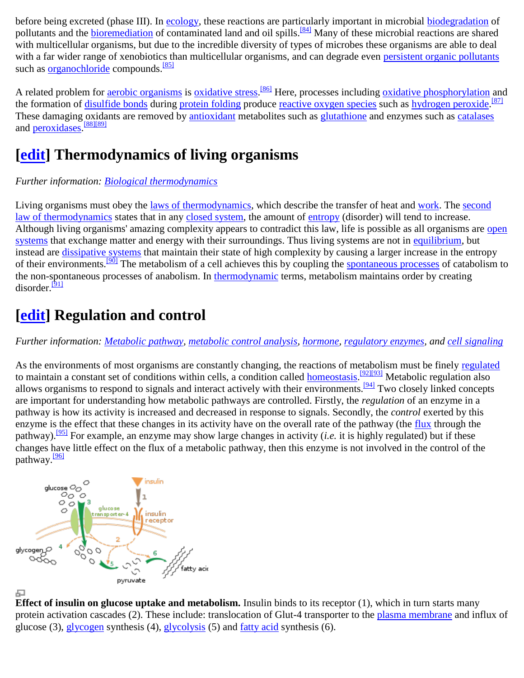before being excreted (phase III). In [ecology,](http://en.wikipedia.org/wiki/Ecology) these reactions are particularly important in microbial [biodegradation](http://en.wikipedia.org/wiki/Biodegradation) of pollutants and the <u>bioremediation</u> of contaminated land and oil spills.<sup>[\[84\]](http://en.wikipedia.org/wiki/Metabolism#cite_note-83)</sup> Many of these microbial reactions are shared with multicellular organisms, but due to the incredible diversity of types of microbes these organisms are able to deal with a far wider range of xenobiotics than multicellular organisms, and can degrade even [persistent organic pollutants](http://en.wikipedia.org/wiki/Persistent_organic_pollutant) such as <u>organochloride</u> compounds.<sup>[\[85\]](http://en.wikipedia.org/wiki/Metabolism#cite_note-84)</sup>

A related problem for *aerobic organisms* is *oxidative stress*.<sup>[\[86\]](http://en.wikipedia.org/wiki/Metabolism#cite_note-Davies-85)</sup> Here, processes including *oxidative phosphorylation* and the formation of <u>disulfide bonds</u> during [protein folding](http://en.wikipedia.org/wiki/Protein_folding) produce [reactive oxygen species](http://en.wikipedia.org/wiki/Reactive_oxygen_species) such as [hydrogen peroxide.](http://en.wikipedia.org/wiki/Hydrogen_peroxide)<sup>[\[87\]](http://en.wikipedia.org/wiki/Metabolism#cite_note-86)</sup> These damaging oxidants are removed by [antioxidant](http://en.wikipedia.org/wiki/Antioxidant) metabolites such as [glutathione](http://en.wikipedia.org/wiki/Glutathione) and enzymes such as [catalases](http://en.wikipedia.org/wiki/Catalase) and **peroxidases**.<sup>[\[88\]\[89\]](http://en.wikipedia.org/wiki/Metabolism#cite_note-Sies-87)</sup>

## **[\[edit\]](http://en.wikipedia.org/w/index.php?title=Metabolism&action=edit§ion=22) Thermodynamics of living organisms**

#### *Further information: [Biological thermodynamics](http://en.wikipedia.org/wiki/Biological_thermodynamics)*

Living organisms must obey the [laws of thermodynamics,](http://en.wikipedia.org/wiki/Laws_of_thermodynamics) which describe the transfer of heat and [work.](http://en.wikipedia.org/wiki/Work_(thermodynamics)) The [second](http://en.wikipedia.org/wiki/Second_law_of_thermodynamics)  [law of thermodynamics](http://en.wikipedia.org/wiki/Second_law_of_thermodynamics) states that in any [closed system,](http://en.wikipedia.org/wiki/Closed_system) the amount of [entropy](http://en.wikipedia.org/wiki/Entropy) (disorder) will tend to increase. Although living organisms' amazing complexity appears to contradict this law, life is possible as all organisms are open [systems](http://en.wikipedia.org/wiki/Open_system_(systems_theory)) that exchange matter and energy with their surroundings. Thus living systems are not in [equilibrium,](http://en.wikipedia.org/wiki/Thermodynamic_equilibrium) but instead are [dissipative systems](http://en.wikipedia.org/wiki/Dissipative_system) that maintain their state of high complexity by causing a larger increase in the entropy of their environments.[\[90\]](http://en.wikipedia.org/wiki/Metabolism#cite_note-89) The metabolism of a cell achieves this by coupling the [spontaneous processes](http://en.wikipedia.org/wiki/Spontaneous_process) of catabolism to the non-spontaneous processes of anabolism. In [thermodynamic](http://en.wikipedia.org/wiki/Non-equilibrium_thermodynamics) terms, metabolism maintains order by creating disorder.<sup>[\[91\]](http://en.wikipedia.org/wiki/Metabolism#cite_note-90)</sup>

## **[\[edit\]](http://en.wikipedia.org/w/index.php?title=Metabolism&action=edit§ion=23) Regulation and control**

*Further information: [Metabolic pathway,](http://en.wikipedia.org/wiki/Metabolic_pathway) [metabolic control analysis,](http://en.wikipedia.org/wiki/Metabolic_control_analysis) [hormone,](http://en.wikipedia.org/wiki/Hormone) [regulatory enzymes,](http://en.wikipedia.org/w/index.php?title=Regulatory_enzyme&action=edit&redlink=1) and [cell signaling](http://en.wikipedia.org/wiki/Cell_signaling)*

As the environments of most organisms are constantly changing, the reactions of metabolism must be finely [regulated](http://en.wikipedia.org/wiki/Control_theory) to maintain a constant set of conditions within cells, a condition called **homeostasis**.<sup>[\[92\]\[93\]](http://en.wikipedia.org/wiki/Metabolism#cite_note-91)</sup> Metabolic regulation also allows organisms to respond to signals and interact actively with their environments.<sup>[\[94\]](http://en.wikipedia.org/wiki/Metabolism#cite_note-93)</sup> Two closely linked concepts are important for understanding how metabolic pathways are controlled. Firstly, the *regulation* of an enzyme in a pathway is how its activity is increased and decreased in response to signals. Secondly, the *control* exerted by this enzyme is the effect that these changes in its activity have on the overall rate of the pathway (the [flux](http://en.wikipedia.org/wiki/Flux) through the pathway).[\[95\]](http://en.wikipedia.org/wiki/Metabolism#cite_note-Salter-94) For example, an enzyme may show large changes in activity (*i.e.* it is highly regulated) but if these changes have little effect on the flux of a metabolic pathway, then this enzyme is not involved in the control of the pathway.<sup>[\[96\]](http://en.wikipedia.org/wiki/Metabolism#cite_note-95)</sup>



#### 모

**Effect of insulin on glucose uptake and metabolism.** Insulin binds to its receptor (1), which in turn starts many protein activation cascades (2). These include: translocation of Glut-4 transporter to the [plasma membrane](http://en.wikipedia.org/wiki/Plasma_membrane) and influx of glucose (3), [glycogen](http://en.wikipedia.org/wiki/Glycogen) synthesis (4), [glycolysis](http://en.wikipedia.org/wiki/Glycolysis) (5) and [fatty acid](http://en.wikipedia.org/wiki/Fatty_acid) synthesis (6).